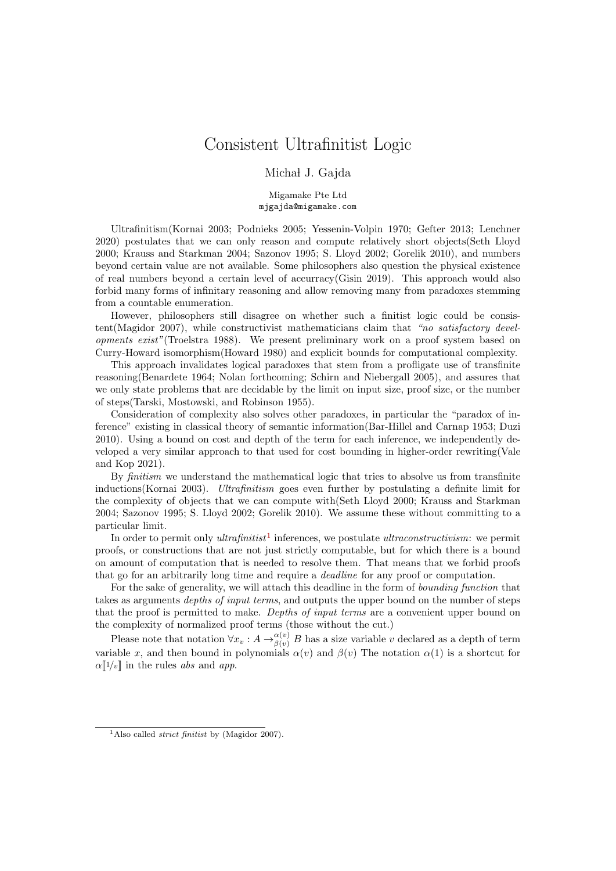## Consistent Ultrafinitist Logic

## Michał J. Gajda

Migamake Pte Ltd mjgajda@migamake.com

Ultrafinitism(Kornai 2003; Podnieks 2005; Yessenin-Volpin 1970; Gefter 2013; Lenchner 2020) postulates that we can only reason and compute relatively short objects(Seth Lloyd 2000; Krauss and Starkman 2004; Sazonov 1995; S. Lloyd 2002; Gorelik 2010), and numbers beyond certain value are not available. Some philosophers also question the physical existence of real numbers beyond a certain level of accurracy(Gisin 2019). This approach would also forbid many forms of infinitary reasoning and allow removing many from paradoxes stemming from a countable enumeration.

However, philosophers still disagree on whether such a finitist logic could be consistent(Magidor 2007), while constructivist mathematicians claim that "no satisfactory developments exist"(Troelstra 1988). We present preliminary work on a proof system based on Curry-Howard isomorphism(Howard 1980) and explicit bounds for computational complexity.

This approach invalidates logical paradoxes that stem from a profligate use of transfinite reasoning(Benardete 1964; Nolan forthcoming; Schirn and Niebergall 2005), and assures that we only state problems that are decidable by the limit on input size, proof size, or the number of steps(Tarski, Mostowski, and Robinson 1955).

Consideration of complexity also solves other paradoxes, in particular the "paradox of inference" existing in classical theory of semantic information(Bar-Hillel and Carnap 1953; Duzi 2010). Using a bound on cost and depth of the term for each inference, we independently developed a very similar approach to that used for cost bounding in higher-order rewriting(Vale and Kop 2021).

By *finitism* we understand the mathematical logic that tries to absolve us from transfinite inductions(Kornai 2003). Ultrafinitism goes even further by postulating a definite limit for the complexity of objects that we can compute with(Seth Lloyd 2000; Krauss and Starkman 2004; Sazonov 1995; S. Lloyd 2002; Gorelik 2010). We assume these without committing to a particular limit.

In order to permit only *ultrafinitist*<sup>[1](#page-0-0)</sup> inferences, we postulate *ultraconstructivism*: we permit proofs, or constructions that are not just strictly computable, but for which there is a bound on amount of computation that is needed to resolve them. That means that we forbid proofs that go for an arbitrarily long time and require a deadline for any proof or computation.

For the sake of generality, we will attach this deadline in the form of *bounding function* that takes as arguments depths of input terms, and outputs the upper bound on the number of steps that the proof is permitted to make. Depths of input terms are a convenient upper bound on the complexity of normalized proof terms (those without the cut.)

Please note that notation  $\forall x_v : A \rightarrow_{\beta(v)}^{\alpha(v)} B$  has a size variable v declared as a depth of term variable x, and then bound in polynomials  $\alpha(v)$  and  $\beta(v)$  The notation  $\alpha(1)$  is a shortcut for  $\alpha$ <sup>[1</sup>/v] in the rules *abs* and *app*.

<span id="page-0-0"></span><sup>&</sup>lt;sup>1</sup>Also called *strict finitist* by (Magidor 2007).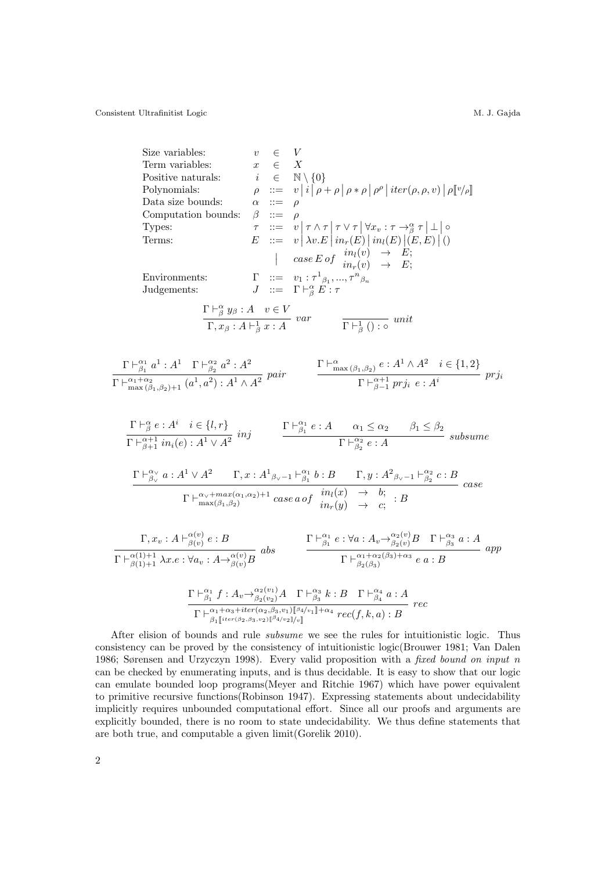Consistent Ultrafinitist Logic M. J. Gajda

Size variables:  
\n
$$
v \in V
$$
  
\nTerm variables:  
\n $x \in X$   
\nPositive n attributes:  
\n $i \in \mathbb{N} \{0\}$   
\nPolynomials:  
\n $\rho := v |i |\rho + \rho |\rho * \rho |\rho^{\rho} | iter(\rho, \rho, v) | \rho [v/\rho]$   
\nData size bounds:  
\n $\rho := v |i |\rho + \rho |\rho * \rho |\rho^{\rho} | iter(\rho, \rho, v) | \rho [v/\rho]$   
\nData size bounds:  
\n $\rho := v |\nabla \wedge \tau |\nabla \vee \gamma | \nabla x, \nabla \cdot \neg \frac{\alpha}{\beta} \tau | \bot | \circ$   
\nTrypes:  
\n $\tau := v |\lambda x. E | \text{in}_{r}(E) | \text{in}_{t}(E) | (E, E) | ()$   
\n $\tau := v |\lambda y... \nabla^{\alpha} y|$   
\n $\tau := \frac{1}{\sqrt{2}} \sum_{i=1}^{n} \frac{1}{\sqrt{2}} \sum_{i=1}^{n} \frac{1}{\sqrt{2}} \sum_{i=1}^{n} \frac{1}{\sqrt{2}} \frac{1}{\sqrt{2}} \frac{1}{\sqrt{2}} \frac{1}{\sqrt{2}} \frac{1}{\sqrt{2}} \frac{1}{\sqrt{2}} \frac{1}{\sqrt{2}} \frac{1}{\sqrt{2}} \frac{1}{\sqrt{2}} \frac{1}{\sqrt{2}} \frac{1}{\sqrt{2}} \frac{1}{\sqrt{2}} \frac{1}{\sqrt{2}} \frac{1}{\sqrt{2}} \frac{1}{\sqrt{2}} \frac{1}{\sqrt{2}} \frac{1}{\sqrt{2}} \frac{1}{\sqrt{2}} \frac{1}{\sqrt{2}} \frac{1}{\sqrt{2}} \frac{1}{\sqrt{2}} \frac{1}{\sqrt{2}} \frac{1}{\sqrt{2}} \frac{1}{\sqrt{2}} \frac{1}{\sqrt{2}} \frac{1}{\sqrt{2}} \frac{1}{\sqrt{2}} \frac{1}{\sqrt{2}} \frac{1}{\sqrt{2}} \frac{1}{\sqrt{2}} \frac{1}{\sqrt{2}} \frac{1}{\sqrt{2}} \frac{1}{\sqrt{2}} \frac{1}{\sqrt{2}} \frac{1}{\sqrt{2}} \frac{1}{\sqrt{2}} \frac{1}{\sqrt{2}} \frac{1}{\sqrt{2}} \frac{$ 

After elision of bounds and rule subsume we see the rules for intuitionistic logic. Thus consistency can be proved by the consistency of intuitionistic logic(Brouwer 1981; Van Dalen 1986; Sørensen and Urzyczyn 1998). Every valid proposition with a fixed bound on input n can be checked by enumerating inputs, and is thus decidable. It is easy to show that our logic can emulate bounded loop programs(Meyer and Ritchie 1967) which have power equivalent to primitive recursive functions(Robinson 1947). Expressing statements about undecidability implicitly requires unbounded computational effort. Since all our proofs and arguments are explicitly bounded, there is no room to state undecidability. We thus define statements that are both true, and computable a given limit(Gorelik 2010).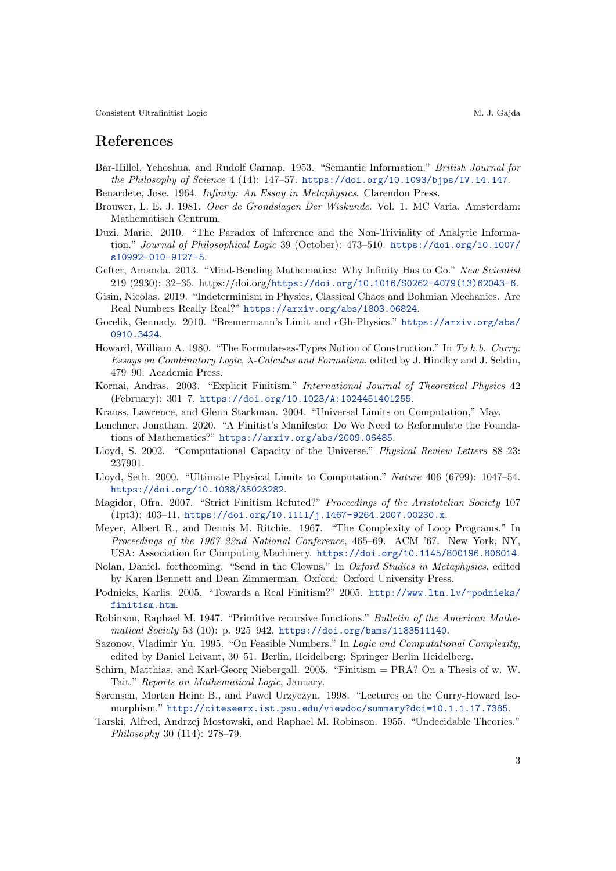Consistent Ultrafinitist Logic M. J. Gajda

## References

- Bar-Hillel, Yehoshua, and Rudolf Carnap. 1953. "Semantic Information." British Journal for the Philosophy of Science 4 (14): 147–57. <https://doi.org/10.1093/bjps/IV.14.147>.
- Benardete, Jose. 1964. Infinity: An Essay in Metaphysics. Clarendon Press.
- Brouwer, L. E. J. 1981. Over de Grondslagen Der Wiskunde. Vol. 1. MC Varia. Amsterdam: Mathematisch Centrum.
- Duzi, Marie. 2010. "The Paradox of Inference and the Non-Triviality of Analytic Information." Journal of Philosophical Logic 39 (October): 473–510. [https://doi.org/10.1007/](https://doi.org/10.1007/s10992-010-9127-5) [s10992-010-9127-5](https://doi.org/10.1007/s10992-010-9127-5).
- Gefter, Amanda. 2013. "Mind-Bending Mathematics: Why Infinity Has to Go." New Scientist 219 (2930): 32–35. https://doi.org/[https://doi.org/10.1016/S0262-4079\(13\)62043-6](https://doi.org/10.1016/S0262-4079(13)62043-6).
- Gisin, Nicolas. 2019. "Indeterminism in Physics, Classical Chaos and Bohmian Mechanics. Are Real Numbers Really Real?" <https://arxiv.org/abs/1803.06824>.
- Gorelik, Gennady. 2010. "Bremermann's Limit and cGh-Physics." [https://arxiv.org/abs/](https://arxiv.org/abs/0910.3424) [0910.3424](https://arxiv.org/abs/0910.3424).
- Howard, William A. 1980. "The Formulae-as-Types Notion of Construction." In To h.b. Curry: Essays on Combinatory Logic,  $\lambda$ -Calculus and Formalism, edited by J. Hindley and J. Seldin, 479–90. Academic Press.
- Kornai, Andras. 2003. "Explicit Finitism." International Journal of Theoretical Physics 42 (February): 301–7. <https://doi.org/10.1023/A:1024451401255>.
- Krauss, Lawrence, and Glenn Starkman. 2004. "Universal Limits on Computation," May.
- Lenchner, Jonathan. 2020. "A Finitist's Manifesto: Do We Need to Reformulate the Foundations of Mathematics?" <https://arxiv.org/abs/2009.06485>.
- Lloyd, S. 2002. "Computational Capacity of the Universe." Physical Review Letters 88 23: 237901.
- Lloyd, Seth. 2000. "Ultimate Physical Limits to Computation." Nature 406 (6799): 1047–54. <https://doi.org/10.1038/35023282>.
- Magidor, Ofra. 2007. "Strict Finitism Refuted?" Proceedings of the Aristotelian Society 107 (1pt3): 403–11. <https://doi.org/10.1111/j.1467-9264.2007.00230.x>.
- Meyer, Albert R., and Dennis M. Ritchie. 1967. "The Complexity of Loop Programs." In Proceedings of the 1967 22nd National Conference, 465–69. ACM '67. New York, NY, USA: Association for Computing Machinery. <https://doi.org/10.1145/800196.806014>.
- Nolan, Daniel. forthcoming. "Send in the Clowns." In Oxford Studies in Metaphysics, edited by Karen Bennett and Dean Zimmerman. Oxford: Oxford University Press.
- Podnieks, Karlis. 2005. "Towards a Real Finitism?" 2005. [http://www.ltn.lv/~podnieks/](http://www.ltn.lv/~podnieks/finitism.htm) [finitism.htm](http://www.ltn.lv/~podnieks/finitism.htm).
- Robinson, Raphael M. 1947. "Primitive recursive functions." Bulletin of the American Mathematical Society 53 (10): p. 925–942. <https://doi.org/bams/1183511140>.
- Sazonov, Vladimir Yu. 1995. "On Feasible Numbers." In Logic and Computational Complexity, edited by Daniel Leivant, 30–51. Berlin, Heidelberg: Springer Berlin Heidelberg.
- Schirn, Matthias, and Karl-Georg Niebergall. 2005. "Finitism = PRA? On a Thesis of w. W. Tait." Reports on Mathematical Logic, January.
- Sørensen, Morten Heine B., and Pawel Urzyczyn. 1998. "Lectures on the Curry-Howard Isomorphism." <http://citeseerx.ist.psu.edu/viewdoc/summary?doi=10.1.1.17.7385>.
- Tarski, Alfred, Andrzej Mostowski, and Raphael M. Robinson. 1955. "Undecidable Theories." Philosophy 30 (114): 278–79.